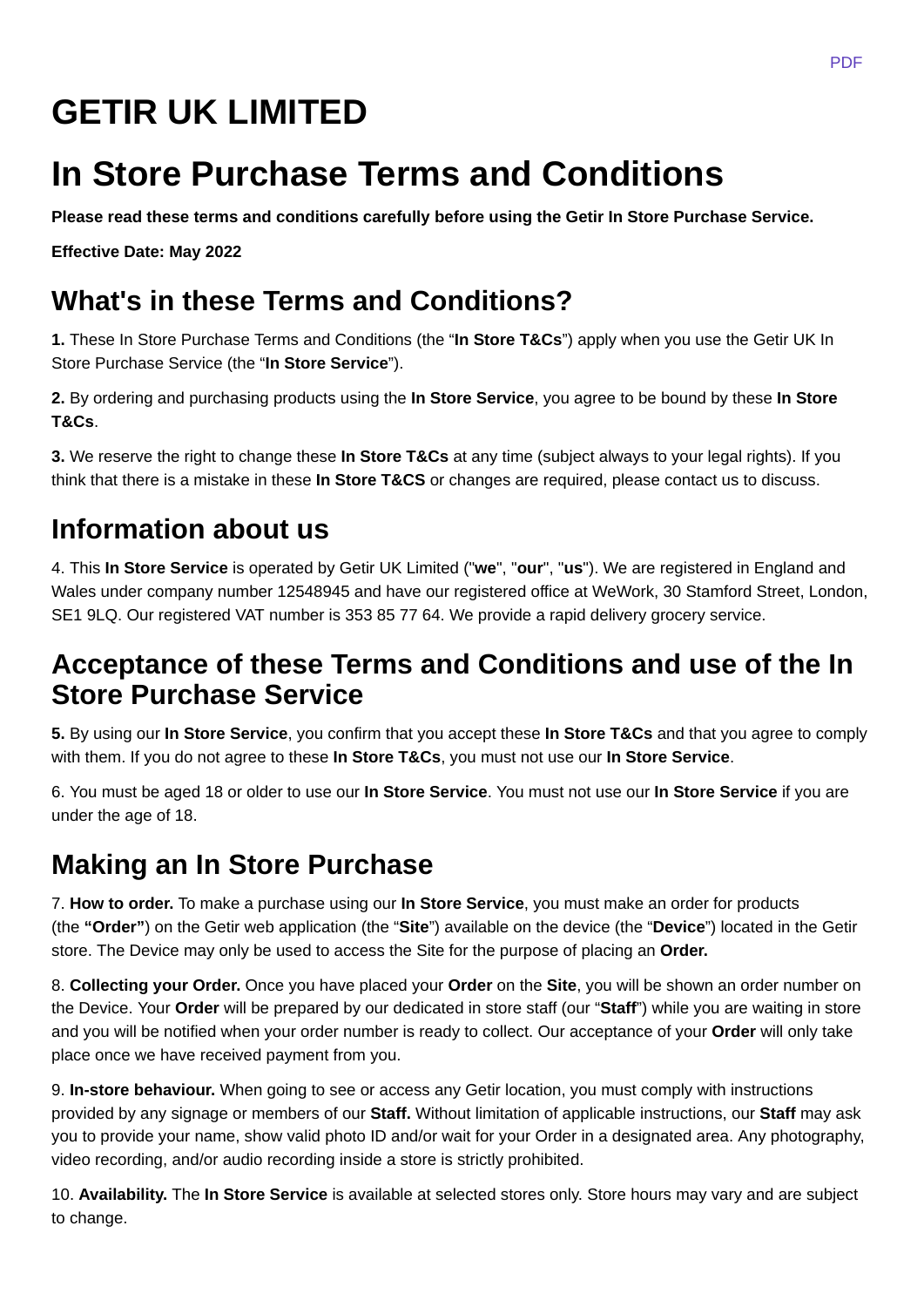# **GETIR UK LIMITED**

## **In Store Purchase Terms and Conditions**

**Please read these terms and conditions carefully before using the Getir In Store Purchase Service.**

**Effective Date: May 2022**

#### **What's in these Terms and Conditions?**

**1.** These In Store Purchase Terms and Conditions (the "**In Store T&Cs**") apply when you use the Getir UK In Store Purchase Service (the "**In Store Service**").

**2.** By ordering and purchasing products using the **In Store Service**, you agree to be bound by these **In Store T&Cs**.

**3.** We reserve the right to change these **In Store T&Cs** at any time (subject always to your legal rights). If you think that there is a mistake in these **In Store T&CS** or changes are required, please contact us to discuss.

#### **Information about us**

4. This **In Store Service** is operated by Getir UK Limited ("**we**", "**our**", "**us**"). We are registered in England and Wales under company number 12548945 and have our registered office at WeWork, 30 Stamford Street, London, SE1 9LQ. Our registered VAT number is 353 85 77 64. We provide a rapid delivery grocery service.

#### **Acceptance of these Terms and Conditions and use of the In Store Purchase Service**

**5.** By using our **In Store Service**, you confirm that you accept these **In Store T&Cs** and that you agree to comply with them. If you do not agree to these **In Store T&Cs**, you must not use our **In Store Service**.

6. You must be aged 18 or older to use our **In Store Service**. You must not use our **In Store Service** if you are under the age of 18.

#### **Making an In Store Purchase**

7. **How to order.** To make a purchase using our **In Store Service**, you must make an order for products (the **"Order"**) on the Getir web application (the "**Site**") available on the device (the "**Device**") located in the Getir store. The Device may only be used to access the Site for the purpose of placing an **Order.**

8. **Collecting your Order.** Once you have placed your **Order** on the **Site**, you will be shown an order number on the Device. Your **Order** will be prepared by our dedicated in store staff (our "**Staff**") while you are waiting in store and you will be notified when your order number is ready to collect. Our acceptance of your **Order** will only take place once we have received payment from you.

9. **In-store behaviour.** When going to see or access any Getir location, you must comply with instructions provided by any signage or members of our **Staff.** Without limitation of applicable instructions, our **Staff** may ask you to provide your name, show valid photo ID and/or wait for your Order in a designated area. Any photography, video recording, and/or audio recording inside a store is strictly prohibited.

10. **Availability.** The **In Store Service** is available at selected stores only. Store hours may vary and are subject to change.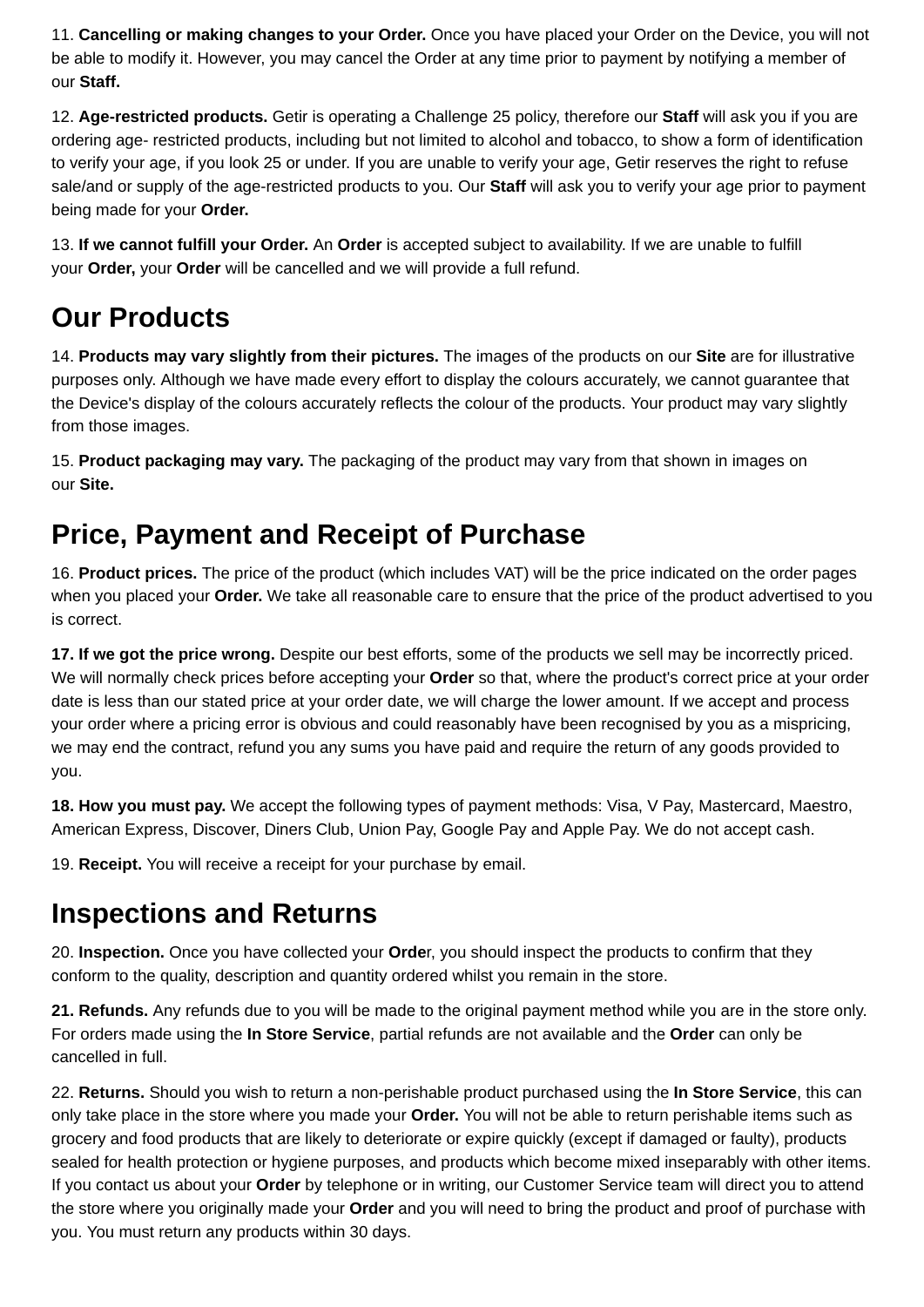11. **Cancelling or making changes to your Order.** Once you have placed your Order on the Device, you will not be able to modify it. However, you may cancel the Order at any time prior to payment by notifying a member of our **Staff.**

12. **Age-restricted products.** Getir is operating a Challenge 25 policy, therefore our **Staff** will ask you if you are ordering age- restricted products, including but not limited to alcohol and tobacco, to show a form of identification to verify your age, if you look 25 or under. If you are unable to verify your age, Getir reserves the right to refuse sale/and or supply of the age-restricted products to you. Our **Staff** will ask you to verify your age prior to payment being made for your **Order.**

13. **If we cannot fulfill your Order.** An **Order** is accepted subject to availability. If we are unable to fulfill your **Order,** your **Order** will be cancelled and we will provide a full refund.

### **Our Products**

14. **Products may vary slightly from their pictures.** The images of the products on our **Site** are for illustrative purposes only. Although we have made every effort to display the colours accurately, we cannot guarantee that the Device's display of the colours accurately reflects the colour of the products. Your product may vary slightly from those images.

15. **Product packaging may vary.** The packaging of the product may vary from that shown in images on our **Site.**

### **Price, Payment and Receipt of Purchase**

16. **Product prices.** The price of the product (which includes VAT) will be the price indicated on the order pages when you placed your **Order.** We take all reasonable care to ensure that the price of the product advertised to you is correct.

**17. If we got the price wrong.** Despite our best efforts, some of the products we sell may be incorrectly priced. We will normally check prices before accepting your **Order** so that, where the product's correct price at your order date is less than our stated price at your order date, we will charge the lower amount. If we accept and process your order where a pricing error is obvious and could reasonably have been recognised by you as a mispricing, we may end the contract, refund you any sums you have paid and require the return of any goods provided to you.

**18. How you must pay.** We accept the following types of payment methods: Visa, V Pay, Mastercard, Maestro, American Express, Discover, Diners Club, Union Pay, Google Pay and Apple Pay. We do not accept cash.

19. **Receipt.** You will receive a receipt for your purchase by email.

### **Inspections and Returns**

20. **Inspection.** Once you have collected your **Orde**r, you should inspect the products to confirm that they conform to the quality, description and quantity ordered whilst you remain in the store.

**21. Refunds.** Any refunds due to you will be made to the original payment method while you are in the store only. For orders made using the **In Store Service**, partial refunds are not available and the **Order** can only be cancelled in full.

22. **Returns.** Should you wish to return a non-perishable product purchased using the **In Store Service**, this can only take place in the store where you made your **Order.** You will not be able to return perishable items such as grocery and food products that are likely to deteriorate or expire quickly (except if damaged or faulty), products sealed for health protection or hygiene purposes, and products which become mixed inseparably with other items. If you contact us about your **Order** by telephone or in writing, our Customer Service team will direct you to attend the store where you originally made your **Order** and you will need to bring the product and proof of purchase with you. You must return any products within 30 days.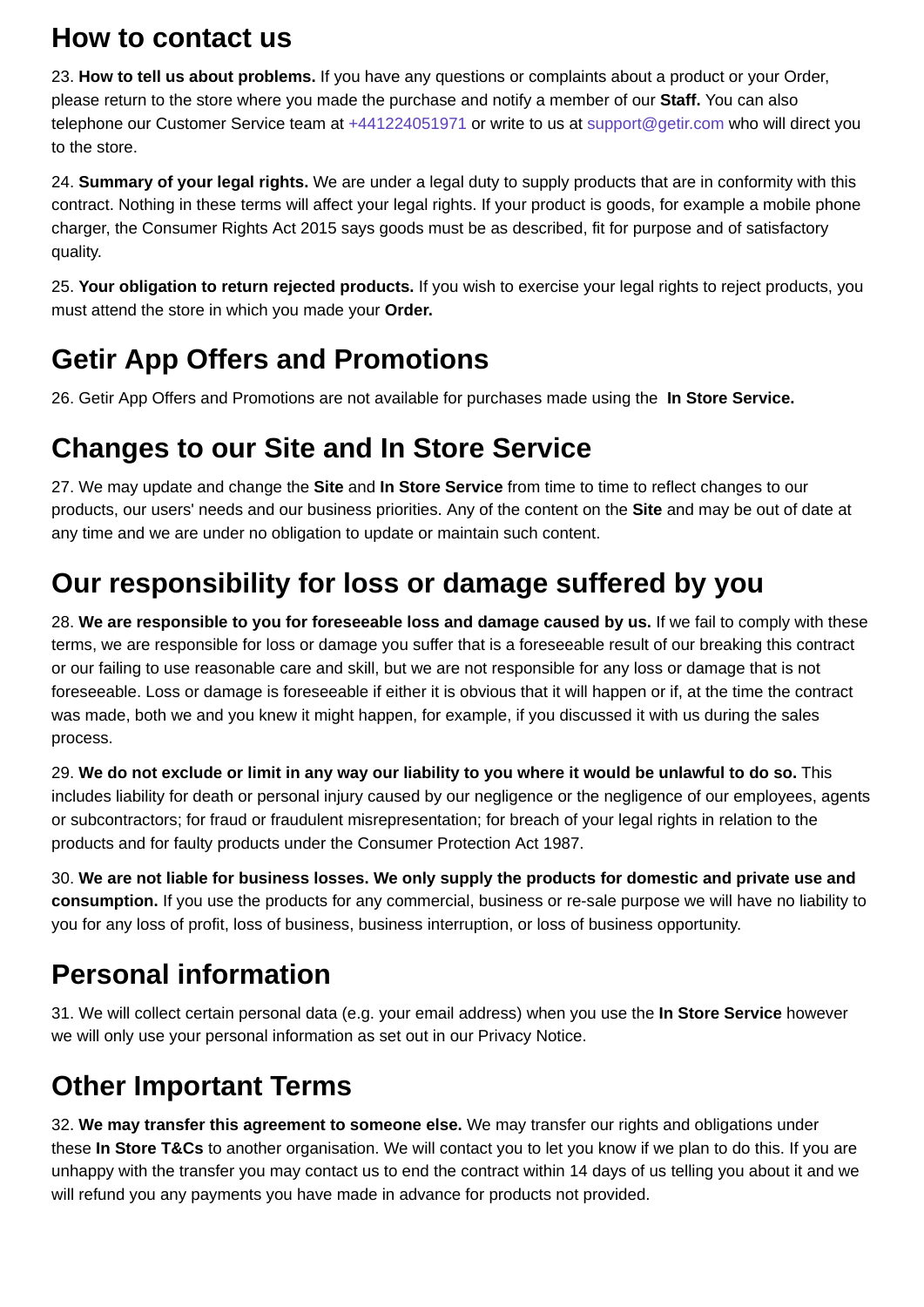#### **How to contact us**

23. **How to tell us about problems.** If you have any questions or complaints about a product or your Order, please return to the store where you made the purchase and notify a member of our **Staff.** You can also telephone our Customer Service team at +441224051971 or write to us at support@getir.com who will direct you to the store.

24. **Summary of your legal rights.** We are under a legal duty to supply products that are in conformity with this contract. Nothing in these terms will affect your legal rights. If your product is goods, for example a mobile phone charger, the Consumer Rights Act 2015 says goods must be as described, fit for purpose and of satisfactory quality.

25. **Your obligation to return rejected products.** If you wish to exercise your legal rights to reject products, you must attend the store in which you made your **Order.**

### **Getir App Offers and Promotions**

26. Getir App Offers and Promotions are not available for purchases made using the **In Store Service.**

#### **Changes to our Site and In Store Service**

27. We may update and change the **Site** and **In Store Service** from time to time to reflect changes to our products, our users' needs and our business priorities. Any of the content on the **Site** and may be out of date at any time and we are under no obligation to update or maintain such content.

### **Our responsibility for loss or damage suffered by you**

28. **We are responsible to you for foreseeable loss and damage caused by us.** If we fail to comply with these terms, we are responsible for loss or damage you suffer that is a foreseeable result of our breaking this contract or our failing to use reasonable care and skill, but we are not responsible for any loss or damage that is not foreseeable. Loss or damage is foreseeable if either it is obvious that it will happen or if, at the time the contract was made, both we and you knew it might happen, for example, if you discussed it with us during the sales process.

29. **We do not exclude or limit in any way our liability to you where it would be unlawful to do so.** This includes liability for death or personal injury caused by our negligence or the negligence of our employees, agents or subcontractors; for fraud or fraudulent misrepresentation; for breach of your legal rights in relation to the products and for faulty products under the Consumer Protection Act 1987.

30. **We are not liable for business losses. We only supply the products for domestic and private use and consumption.** If you use the products for any commercial, business or re-sale purpose we will have no liability to you for any loss of profit, loss of business, business interruption, or loss of business opportunity.

## **Personal information**

31. We will collect certain personal data (e.g. your email address) when you use the **In Store Service** however we will only use your personal information as set out in our Privacy Notice.

## **Other Important Terms**

32. **We may transfer this agreement to someone else.** We may transfer our rights and obligations under these **In Store T&Cs** to another organisation. We will contact you to let you know if we plan to do this. If you are unhappy with the transfer you may contact us to end the contract within 14 days of us telling you about it and we will refund you any payments you have made in advance for products not provided.